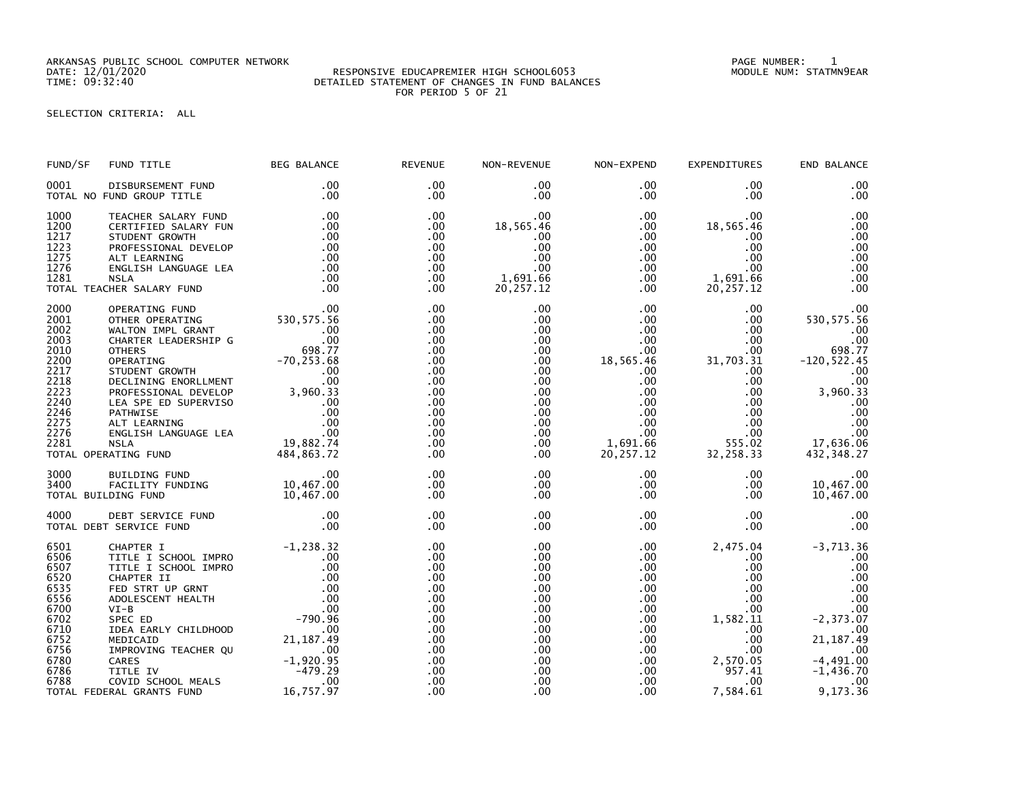ARKANSAS PUBLIC SCHOOL COMPUTER NETWORK PAGE NUMBER: 1

## DATE: 12/01/2020 RESPONSIVE EDUCAPREMIER HIGH SCHOOL6053 MODULE NUM: STATMN9EAR TIME: 09:32:40 DETAILED STATEMENT OF CHANGES IN FUND BALANCES FOR PERIOD 5 OF 21

SELECTION CRITERIA: ALL

| FUND/SF                                                                                                      | FUND TITLE                                                                                                                                                                                                                                                                                                           | BEG BALANCE            | <b>REVENUE</b>                                                                                        | NON-REVENUE                                                                                                                                   | NON-EXPEND                                                                                                                                                  | EXPENDITURES                                                                                                                                                 | END BALANCE                                                                                                                                                                  |
|--------------------------------------------------------------------------------------------------------------|----------------------------------------------------------------------------------------------------------------------------------------------------------------------------------------------------------------------------------------------------------------------------------------------------------------------|------------------------|-------------------------------------------------------------------------------------------------------|-----------------------------------------------------------------------------------------------------------------------------------------------|-------------------------------------------------------------------------------------------------------------------------------------------------------------|--------------------------------------------------------------------------------------------------------------------------------------------------------------|------------------------------------------------------------------------------------------------------------------------------------------------------------------------------|
| 0001                                                                                                         | DISBURSEMENT FUND<br>TOTAL NO FUND GROUP TITLE                                                                                                                                                                                                                                                                       | $.00 \,$<br>.00        | $.00 \times$<br>.00                                                                                   | $.00 \,$<br>.00                                                                                                                               | $.00 \,$<br>$.00 \,$                                                                                                                                        | $.00 \,$<br>$.00 \,$                                                                                                                                         | .00<br>.00                                                                                                                                                                   |
| 1000<br>1200<br>1217<br>1223<br>1275<br>1276<br>1281                                                         | TOTAL TEACHER SALARY FUND                                                                                                                                                                                                                                                                                            |                        | $.00 \times$<br>.00.<br>.00<br>.00<br>.00<br>.00<br>.00<br>$.00 \times$                               | 18,565.46<br>.00<br>.00<br>.00<br>.00<br>1,691.66<br>20,257.12                                                                                | $.00 \,$<br>$.00 \,$<br>$.00 \,$<br>$.00 \,$<br>$.00\,$<br>$.00\,$<br>$.00\,$<br>$.00 \,$                                                                   | 00.<br>18, 565. 46<br>.00<br>.00<br>.00<br>.00<br>1,691.66<br>20, 257.12                                                                                     | .00<br>.00<br>.00<br>.00<br>.00<br>.00<br>.00<br>.00                                                                                                                         |
| 2000<br>2001<br>2002<br>2003<br>2010<br>2200<br>2217<br>2218<br>2223<br>2240<br>2246<br>2275<br>2276<br>2281 | FEACHER SALARY FUND<br>TEACHER SALARY FUND<br>STUDENT GROWTH<br>STUDENT GROWTH<br>NELL LEARNING<br>NOFESSIONAL DEVELOP<br>ALT LEARNING<br>NOTESSIONAL DEVELOP<br>ALT LEARNING<br>COOLISH LANGUAGE LEA<br>NELL SALARY FUND<br>OPERATING FUND<br>OPERATI<br>TOTAL OPERATING FUND                                       |                        | .00<br>.00<br>.00<br>.00<br>.00<br>.00<br>.00<br>.00<br>.00<br>.00<br>.00<br>.00<br>.00<br>.00<br>.00 | .00<br>.00<br>.00<br>.00<br>$.00 \,$<br>$.00 \,$<br>.00<br>$.00 \,$<br>$.00 \,$<br>$.00 \,$<br>$.00 \,$<br>$.00 \,$<br>.00<br>$.00 \,$<br>.00 | $.00 \,$<br>.00<br>.00<br>$.00\,$<br>.00<br>18,565.46<br>$.00 \,$<br>$.00 \,$<br>.00<br>$.00\,$<br>$.00\,$<br>$.00\,$<br>$.00 \,$<br>1,691.66<br>20, 257.12 | $.00 \,$<br>.00<br>$.00 \,$<br>$.00 \,$<br>$.00 \,$<br>31,703.31<br>$.00 \,$<br>$.00 \,$<br>.00<br>$.00 \,$<br>.00<br>.00<br>$.00 \,$<br>555.02<br>32,258.33 | .00<br>530, 575.56<br>.00<br>.00<br>698.77<br>$-120, 522.45$<br>.00<br>.00<br>3,960.33<br>$\begin{array}{c} .00 \\ .00 \end{array}$<br>.00<br>.00<br>17,636.06<br>432,348.27 |
| 3000<br>3400                                                                                                 | 00. 00<br>FACILITY FUNDING 10,467.00<br>DING FUND 10,467.00<br>TOTAL BUILDING FUND                                                                                                                                                                                                                                   |                        | .00<br>.00<br>.00                                                                                     | $.00 \,$<br>$.00 \,$<br>$.00 \,$                                                                                                              | $.00\,$<br>$.00 \,$<br>$.00 \,$                                                                                                                             | .00<br>.00<br>$.00 \,$                                                                                                                                       | .00<br>10,467.00<br>10,467.00                                                                                                                                                |
| 4000                                                                                                         | DEBT SERVICE FUND .00<br>T SERVICE FUND .00<br>TOTAL DEBT SERVICE FUND                                                                                                                                                                                                                                               |                        | .00<br>.00                                                                                            | .00<br>.00                                                                                                                                    | $.00 \,$<br>$.00 \,$                                                                                                                                        | $.00 \,$<br>.00 <sub>1</sub>                                                                                                                                 | .00<br>.00                                                                                                                                                                   |
| 6501<br>6506<br>6507<br>6520<br>6535<br>6556<br>6700<br>6702<br>6710<br>6752<br>6756<br>6780<br>6786<br>6788 | CHAPTER I<br>TITLE I SCHOOL IMPRO<br>TITLE I SCHOOL IMPRO<br>TITLE I SCHOOL IMPRO<br>CHAPTER II<br>CHAPTER II 0.00<br>CHAPTER II 0.00<br>FED STRT UP GRNT 0.00<br>ADOLESCENT HEALTH 0.00<br>ADOLESCENT HEALTH 0.00<br>VI-B<br>SPEC ED -790.96<br>IDEA<br>TITLE IV<br>COVID SCHOOL MEALS<br>TOTAL FEDERAL GRANTS FUND | $-479.29$<br>16,757.97 | .00<br>.00<br>.00<br>.00<br>.00<br>.00<br>.00<br>.00<br>.00<br>.00<br>.00<br>.00<br>.00<br>.00<br>.00 | .00<br>.00<br>.00<br>.00<br>.00<br>.00<br>.00<br>.00<br>.00<br>.00<br>.00<br>.00<br>.00<br>.00<br>.00                                         | $.00 \,$<br>$.00 \,$<br>$.00 \,$<br>$.00 \,$<br>.00<br>.00<br>.00<br>$.00\,$<br>$.00 \,$<br>$.00\,$<br>$.00\,$<br>$.00\,$<br>$.00 \,$<br>$.00 \,$<br>.00    | 2,475.04<br>$.00 \,$<br>.00<br>$.00 \,$<br>$.00 \,$<br>$.00 \,$<br>.00<br>1,582.11<br>.00<br>$.00 \,$<br>$.00 \,$<br>2,570.05<br>957.41<br>.00<br>7,584.61   | $-3,713.36$<br>.00<br>.00<br>.00<br>.00<br>.00<br>.00<br>$-2, 373.07$<br>.00<br>21, 187.49<br>.00<br>$-4,491.00$<br>$-1,436.70$<br>.00<br>9,173.36                           |